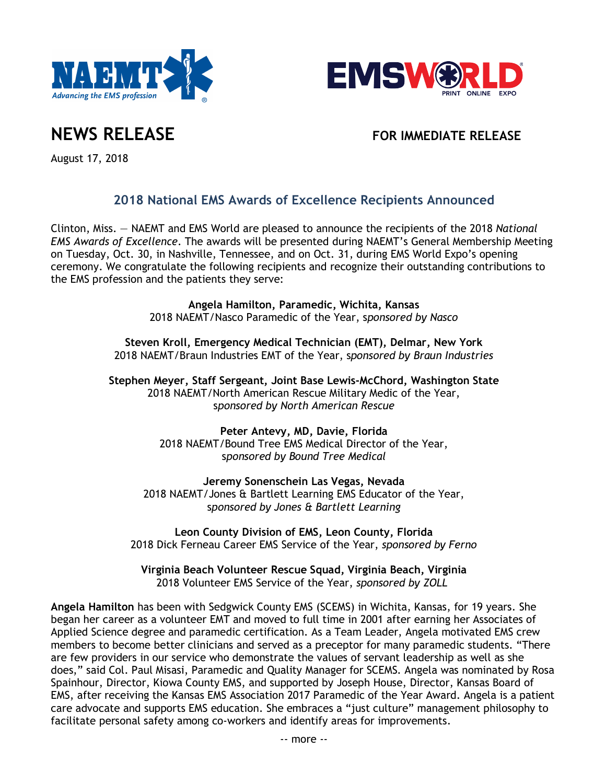



**NEWS RELEASE FOR IMMEDIATE RELEASE**

August 17, 2018

## **2018 National EMS Awards of Excellence Recipients Announced**

Clinton, Miss. — NAEMT and EMS World are pleased to announce the recipients of the 2018 *National EMS Awards of Excellence*. The awards will be presented during NAEMT's General Membership Meeting on Tuesday, Oct. 30, in Nashville, Tennessee, and on Oct. 31, during EMS World Expo's opening ceremony. We congratulate the following recipients and recognize their outstanding contributions to the EMS profession and the patients they serve:

> **Angela Hamilton, Paramedic, Wichita, Kansas** 2018 NAEMT/Nasco Paramedic of the Year, s*ponsored by Nasco*

**Steven Kroll, Emergency Medical Technician (EMT), Delmar, New York** 2018 NAEMT/Braun Industries EMT of the Year, s*ponsored by Braun Industries*

**Stephen Meyer, Staff Sergeant, Joint Base Lewis-McChord, Washington State** 2018 NAEMT/North American Rescue Military Medic of the Year, s*ponsored by North American Rescue*

> **Peter Antevy, MD, Davie, Florida** 2018 NAEMT/Bound Tree EMS Medical Director of the Year, s*ponsored by Bound Tree Medical*

**Jeremy Sonenschein Las Vegas, Nevada** 2018 NAEMT/Jones & Bartlett Learning EMS Educator of the Year, s*ponsored by Jones & Bartlett Learning*

**Leon County Division of EMS, Leon County, Florida** 2018 Dick Ferneau Career EMS Service of the Year, *sponsored by Ferno*

**Virginia Beach Volunteer Rescue Squad, Virginia Beach, Virginia** 2018 Volunteer EMS Service of the Year, *sponsored by ZOLL*

**Angela Hamilton** has been with Sedgwick County EMS (SCEMS) in Wichita, Kansas, for 19 years. She began her career as a volunteer EMT and moved to full time in 2001 after earning her Associates of Applied Science degree and paramedic certification. As a Team Leader, Angela motivated EMS crew members to become better clinicians and served as a preceptor for many paramedic students. "There are few providers in our service who demonstrate the values of servant leadership as well as she does," said Col. Paul Misasi, Paramedic and Quality Manager for SCEMS. Angela was nominated by Rosa Spainhour, Director, Kiowa County EMS, and supported by Joseph House, Director, Kansas Board of EMS, after receiving the Kansas EMS Association 2017 Paramedic of the Year Award. Angela is a patient care advocate and supports EMS education. She embraces a "just culture" management philosophy to facilitate personal safety among co-workers and identify areas for improvements.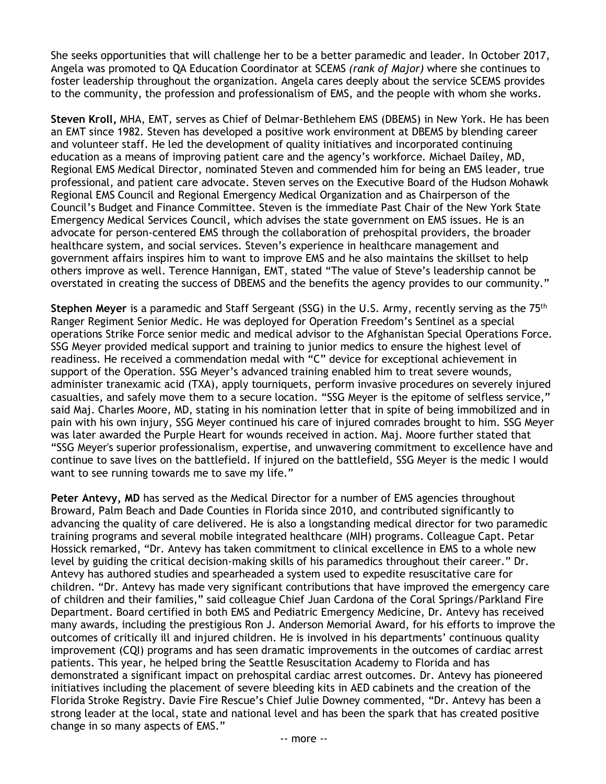She seeks opportunities that will challenge her to be a better paramedic and leader. In October 2017, Angela was promoted to QA Education Coordinator at SCEMS *(rank of Major)* where she continues to foster leadership throughout the organization. Angela cares deeply about the service SCEMS provides to the community, the profession and professionalism of EMS, and the people with whom she works.

**Steven Kroll,** MHA, EMT, serves as Chief of Delmar-Bethlehem EMS (DBEMS) in New York. He has been an EMT since 1982. Steven has developed a positive work environment at DBEMS by blending career and volunteer staff. He led the development of quality initiatives and incorporated continuing education as a means of improving patient care and the agency's workforce. Michael Dailey, MD, Regional EMS Medical Director, nominated Steven and commended him for being an EMS leader, true professional, and patient care advocate. Steven serves on the Executive Board of the Hudson Mohawk Regional EMS Council and Regional Emergency Medical Organization and as Chairperson of the Council's Budget and Finance Committee. Steven is the immediate Past Chair of the New York State Emergency Medical Services Council, which advises the state government on EMS issues. He is an advocate for person-centered EMS through the collaboration of prehospital providers, the broader healthcare system, and social services. Steven's experience in healthcare management and government affairs inspires him to want to improve EMS and he also maintains the skillset to help others improve as well. Terence Hannigan, EMT, stated "The value of Steve's leadership cannot be overstated in creating the success of DBEMS and the benefits the agency provides to our community."

**Stephen Meyer** is a paramedic and Staff Sergeant (SSG) in the U.S. Army, recently serving as the 75<sup>th</sup> Ranger Regiment Senior Medic. He was deployed for Operation Freedom's Sentinel as a special operations Strike Force senior medic and medical advisor to the Afghanistan Special Operations Force. SSG Meyer provided medical support and training to junior medics to ensure the highest level of readiness. He received a commendation medal with "C" device for exceptional achievement in support of the Operation. SSG Meyer's advanced training enabled him to treat severe wounds, administer tranexamic acid (TXA), apply tourniquets, perform invasive procedures on severely injured casualties, and safely move them to a secure location. "SSG Meyer is the epitome of selfless service," said Maj. Charles Moore, MD, stating in his nomination letter that in spite of being immobilized and in pain with his own injury, SSG Meyer continued his care of injured comrades brought to him. SSG Meyer was later awarded the Purple Heart for wounds received in action. Maj. Moore further stated that "SSG Meyer's superior professionalism, expertise, and unwavering commitment to excellence have and continue to save lives on the battlefield. If injured on the battlefield, SSG Meyer is the medic I would want to see running towards me to save my life."

Peter Antevy, MD has served as the Medical Director for a number of EMS agencies throughout Broward, Palm Beach and Dade Counties in Florida since 2010, and contributed significantly to advancing the quality of care delivered. He is also a longstanding medical director for two paramedic training programs and several mobile integrated healthcare (MIH) programs. Colleague Capt. Petar Hossick remarked, "Dr. Antevy has taken commitment to clinical excellence in EMS to a whole new level by guiding the critical decision-making skills of his paramedics throughout their career." Dr. Antevy has authored studies and spearheaded a system used to expedite resuscitative care for children. "Dr. Antevy has made very significant contributions that have improved the emergency care of children and their families," said colleague Chief Juan Cardona of the Coral Springs/Parkland Fire Department. Board certified in both EMS and Pediatric Emergency Medicine, Dr. Antevy has received many awards, including the prestigious Ron J. Anderson Memorial Award, for his efforts to improve the outcomes of critically ill and injured children. He is involved in his departments' continuous quality improvement (CQI) programs and has seen dramatic improvements in the outcomes of cardiac arrest patients. This year, he helped bring the Seattle Resuscitation Academy to Florida and has demonstrated a significant impact on prehospital cardiac arrest outcomes. Dr. Antevy has pioneered initiatives including the placement of severe bleeding kits in AED cabinets and the creation of the Florida Stroke Registry. Davie Fire Rescue's Chief Julie Downey commented, "Dr. Antevy has been a strong leader at the local, state and national level and has been the spark that has created positive change in so many aspects of EMS."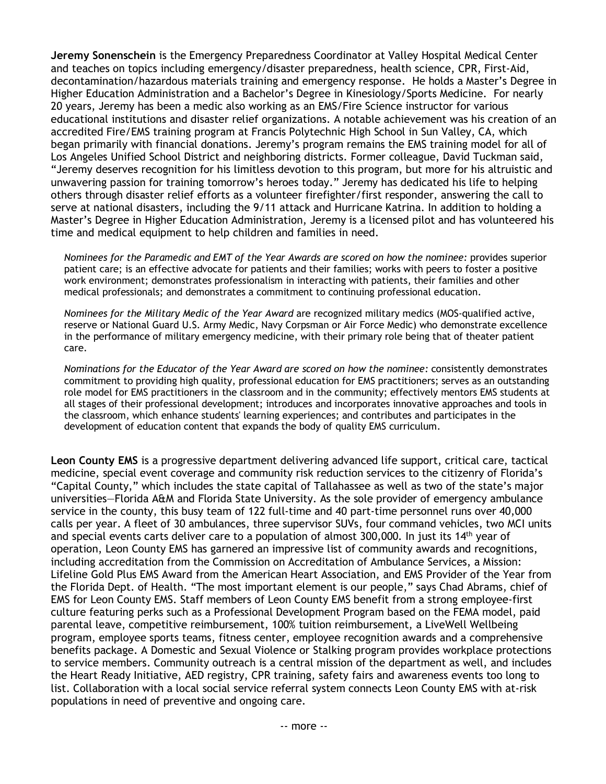**Jeremy Sonenschein** is the Emergency Preparedness Coordinator at Valley Hospital Medical Center and teaches on topics including emergency/disaster preparedness, health science, CPR, First-Aid, decontamination/hazardous materials training and emergency response. He holds a Master's Degree in Higher Education Administration and a Bachelor's Degree in Kinesiology/Sports Medicine. For nearly 20 years, Jeremy has been a medic also working as an EMS/Fire Science instructor for various educational institutions and disaster relief organizations. A notable achievement was his creation of an accredited Fire/EMS training program at Francis Polytechnic High School in Sun Valley, CA, which began primarily with financial donations. Jeremy's program remains the EMS training model for all of Los Angeles Unified School District and neighboring districts. Former colleague, David Tuckman said, "Jeremy deserves recognition for his limitless devotion to this program, but more for his altruistic and unwavering passion for training tomorrow's heroes today." Jeremy has dedicated his life to helping others through disaster relief efforts as a volunteer firefighter/first responder, answering the call to serve at national disasters, including the 9/11 attack and Hurricane Katrina. In addition to holding a Master's Degree in Higher Education Administration, Jeremy is a licensed pilot and has volunteered his time and medical equipment to help children and families in need.

*Nominees for the Paramedic and EMT of the Year Awards are scored on how the nominee:* provides superior patient care; is an effective advocate for patients and their families; works with peers to foster a positive work environment; demonstrates professionalism in interacting with patients, their families and other medical professionals; and demonstrates a commitment to continuing professional education.

*Nominees for the Military Medic of the Year Award* are recognized military medics (MOS-qualified active, reserve or National Guard U.S. Army Medic, Navy Corpsman or Air Force Medic) who demonstrate excellence in the performance of military emergency medicine, with their primary role being that of theater patient care.

*Nominations for the Educator of the Year Award are scored on how the nominee:* consistently demonstrates commitment to providing high quality, professional education for EMS practitioners; serves as an outstanding role model for EMS practitioners in the classroom and in the community; effectively mentors EMS students at all stages of their professional development; introduces and incorporates innovative approaches and tools in the classroom, which enhance students' learning experiences; and contributes and participates in the development of education content that expands the body of quality EMS curriculum.

**Leon County EMS** is a progressive department delivering advanced life support, critical care, tactical medicine, special event coverage and community risk reduction services to the citizenry of Florida's "Capital County," which includes the state capital of Tallahassee as well as two of the state's major universities—Florida A&M and Florida State University. As the sole provider of emergency ambulance service in the county, this busy team of 122 full-time and 40 part-time personnel runs over 40,000 calls per year. A fleet of 30 ambulances, three supervisor SUVs, four command vehicles, two MCI units and special events carts deliver care to a population of almost 300,000. In just its  $14<sup>th</sup>$  year of operation, Leon County EMS has garnered an impressive list of community awards and recognitions, including accreditation from the Commission on Accreditation of Ambulance Services, a Mission: Lifeline Gold Plus EMS Award from the American Heart Association, and EMS Provider of the Year from the Florida Dept. of Health. "The most important element is our people," says Chad Abrams, chief of EMS for Leon County EMS. Staff members of Leon County EMS benefit from a strong employee-first culture featuring perks such as a Professional Development Program based on the FEMA model, paid parental leave, competitive reimbursement, 100% tuition reimbursement, a LiveWell Wellbeing program, employee sports teams, fitness center, employee recognition awards and a comprehensive benefits package. A Domestic and Sexual Violence or Stalking program provides workplace protections to service members. Community outreach is a central mission of the department as well, and includes the Heart Ready Initiative, AED registry, CPR training, safety fairs and awareness events too long to list. Collaboration with a local social service referral system connects Leon County EMS with at-risk populations in need of preventive and ongoing care.